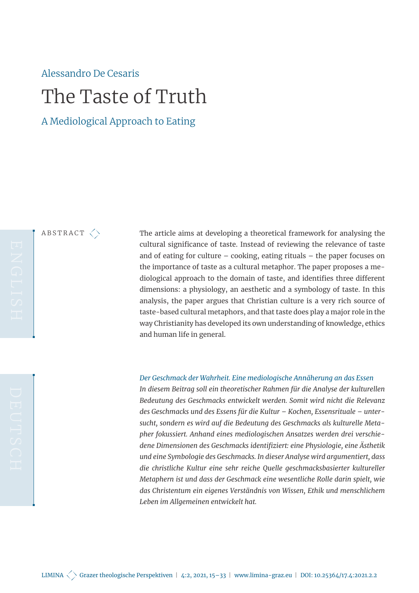# Alessandro De Cesaris The Taste of Truth

A Mediological Approach to Eating

ABSTRACT  $\left\langle \right\rangle$ 

The article aims at developing a theoretical framework for analysing the cultural significance of taste. Instead of reviewing the relevance of taste and of eating for culture – cooking, eating rituals – the paper focuses on the importance of taste as a cultural metaphor. The paper proposes a mediological approach to the domain of taste, and identifies three different dimensions: a physiology, an aesthetic and a symbology of taste. In this analysis, the paper argues that Christian culture is a very rich source of taste-based cultural metaphors, and that taste does play a major role in the way Christianity has developed its own understanding of knowledge, ethics and human life in general.

#### *Der Geschmack der Wahrheit. Eine mediologische Annäherung an das Essen*

<span id="page-0-0"></span>*In diesem Beitrag soll ein theoretischer Rahmen für die Analyse der kulturellen Bedeutung des Geschmacks entwickelt werden. Somit wird nicht die Relevanz des Geschmacks und des Essens für die Kultur – Kochen, Essensrituale – untersucht, sondern es wird auf die Bedeutung des Geschmacks als kulturelle Metapher fokussiert. Anhand eines mediologischen Ansatzes werden drei verschiedene Dimensionen des Geschmacks identifiziert: eine Physiologie, eine Ästhetik und eine Symbologie des Geschmacks. In dieser Analyse wird argumentiert, dass die christliche Kultur eine sehr reiche Quelle geschmacksbasierter kultureller Metaphern ist und dass der Geschmack eine wesentliche Rolle darin spielt, wie das Christentum ein eigenes Verständnis von Wissen, Ethik und menschlichem Leben im Allgemeinen entwickelt hat.*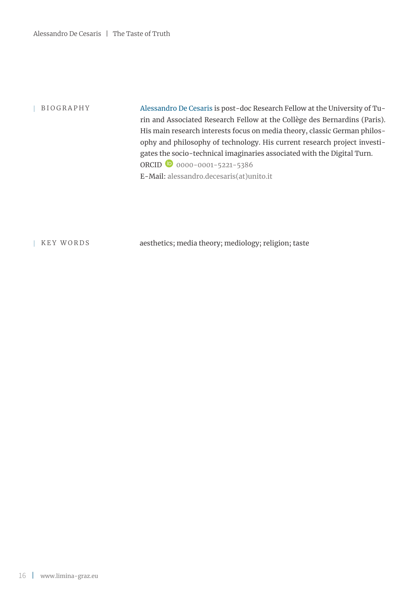| BIOGRAPHY Alessandro De Cesaris is post-doc Research Fellow at the University of Turin and Associated Research Fellow at the Collège des Bernardins (Paris). His main research interests focus on media theory, classic German philosophy and philosophy of technology. His current research project investigates the socio-technical imaginaries associated with the Digital Turn. ORCID [0000-0001-5221-5386](https://orcid.org/0000-0001-5221-5386) E-Mail: [alessandro.decesaris\(at\)unito.it](mailto:alessandro.decesaris%40unito.it?subject=LIMINA%204%3A2)

| KEY WORDS aesthetics; media theory; mediology; religion; taste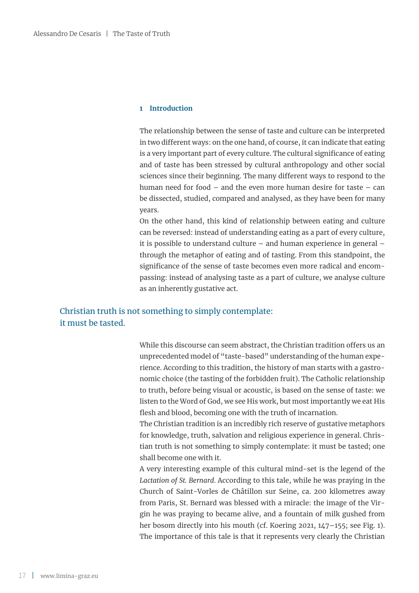#### **1 Introduction**

The relationship between the sense of taste and culture can be interpreted in two different ways: on the one hand, of course, it can indicate that eating is a very important part of every culture. The cultural significance of eating and of taste has been stressed by cultural anthropology and other social sciences since their beginning. The many different ways to respond to the human need for food – and the even more human desire for taste – can be dissected, studied, compared and analysed, as they have been for many years.

On the other hand, this kind of relationship between eating and culture can be reversed: instead of understanding eating as a part of every culture, it is possible to understand culture – and human experience in general – through the metaphor of eating and of tasting. From this standpoint, the significance of the sense of taste becomes even more radical and encompassing: instead of analysing taste as a part of culture, we analyse culture as an inherently gustative act.

# Christian truth is not something to simply contemplate: it must be tasted.

While this discourse can seem abstract, the Christian tradition offers us an unprecedented model of "taste-based" understanding of the human experience. According to this tradition, the history of man starts with a gastronomic choice (the tasting of the forbidden fruit). The Catholic relationship to truth, before being visual or acoustic, is based on the sense of taste: we listen to the Word of God, we see His work, but most importantly we eat His flesh and blood, becoming one with the truth of incarnation.

The Christian tradition is an incredibly rich reserve of gustative metaphors for knowledge, truth, salvation and religious experience in general. Christian truth is not something to simply contemplate: it must be tasted; one shall become one with it.

A very interesting example of this cultural mind-set is the legend of the *Lactation of St. Bernard*. According to this tale, while he was praying in the Church of Saint-Vorles de Châtillon sur Seine, ca. 200 kilometres away from Paris, St. Bernard was blessed with a miracle: the image of the Virgin he was praying to became alive, and a fountain of milk gushed from her bosom directly into his mouth (cf. Koering 2021, 147-155; see Fig. 1). The importance of this tale is that it represents very clearly the Christian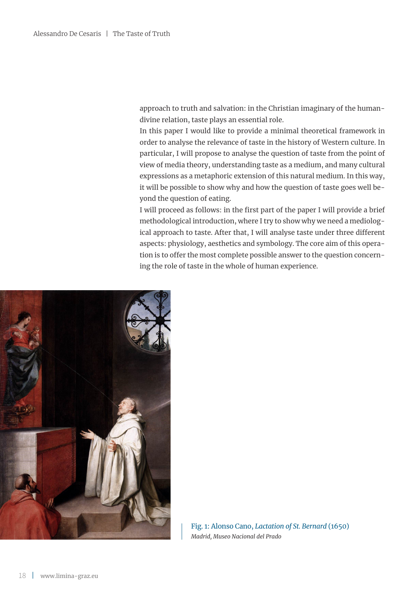approach to truth and salvation: in the Christian imaginary of the humandivine relation, taste plays an essential role.

In this paper I would like to provide a minimal theoretical framework in order to analyse the relevance of taste in the history of Western culture. In particular, I will propose to analyse the question of taste from the point of view of media theory, understanding taste as a medium, and many cultural expressions as a metaphoric extension of this natural medium. In this way, it will be possible to show why and how the question of taste goes well beyond the question of eating.

I will proceed as follows: in the first part of the paper I will provide a brief methodological introduction, where I try to show why we need a mediological approach to taste. After that, I will analyse taste under three different aspects: physiology, aesthetics and symbology. The core aim of this operation is to offer the most complete possible answer to the question concerning the role of taste in the whole of human experience.



Fig. 1: Alonso Cano, *Lactation of St. Bernard* (1650) *Madrid, Museo Nacional del Prado*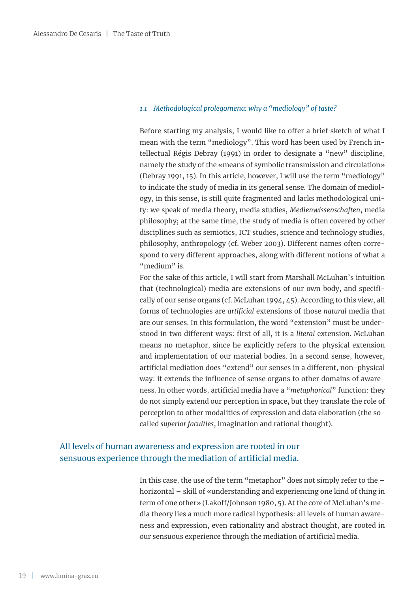#### *1.1 Methodological prolegomena: why a "mediology" of taste?*

Before starting my analysis, I would like to offer a brief sketch of what I mean with the term "mediology". This word has been used by French intellectual Régis Debray (1991) in order to designate a "new" discipline, namely the study of the «means of symbolic transmission and circulation» (Debray 1991, 15). In this article, however, I will use the term "mediology" to indicate the study of media in its general sense. The domain of mediology, in this sense, is still quite fragmented and lacks methodological unity: we speak of media theory, media studies, *Medienwissenschaften*, media philosophy; at the same time, the study of media is often covered by other disciplines such as semiotics, ICT studies, science and technology studies, philosophy, anthropology (cf. Weber 2003). Different names often correspond to very different approaches, along with different notions of what a "medium" is.

For the sake of this article, I will start from Marshall McLuhan's intuition that (technological) media are extensions of our own body, and specifically of our sense organs (cf. McLuhan 1994, 45). According to this view, all forms of technologies are *artificial* extensions of those *natural* media that are our senses. In this formulation, the word "extension" must be understood in two different ways: first of all, it is a *literal* extension. McLuhan means no metaphor, since he explicitly refers to the physical extension and implementation of our material bodies. In a second sense, however, artificial mediation does "extend" our senses in a different, non-physical way: it extends the influence of sense organs to other domains of awareness. In other words, artificial media have a "*metaphorical*" function: they do not simply extend our perception in space, but they translate the role of perception to other modalities of expression and data elaboration (the socalled *superior faculties*, imagination and rational thought).

# All levels of human awareness and expression are rooted in our sensuous experience through the mediation of artificial media.

In this case, the use of the term "metaphor" does not simply refer to the  $$ horizontal – skill of «understanding and experiencing one kind of thing in term of one other» (Lakoff/Johnson 1980, 5). At the core of McLuhan's media theory lies a much more radical hypothesis: all levels of human awareness and expression, even rationality and abstract thought, are rooted in our sensuous experience through the mediation of artificial media.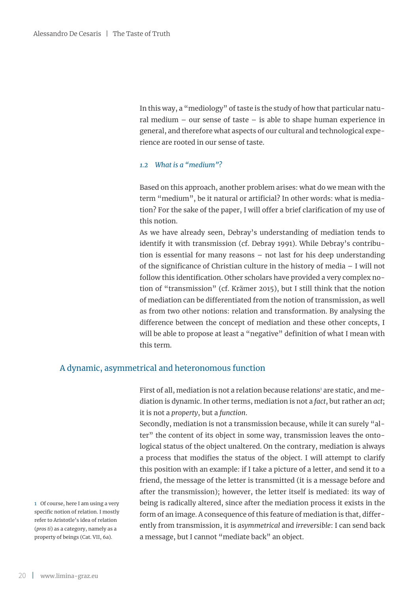In this way, a "mediology" of taste is the study of how that particular natural medium – our sense of taste – is able to shape human experience in general, and therefore what aspects of our cultural and technological experience are rooted in our sense of taste.

#### *1.2 What is a "medium"?*

Based on this approach, another problem arises: what do we mean with the term "medium", be it natural or artificial? In other words: what is mediation? For the sake of the paper, I will offer a brief clarification of my use of this notion.

As we have already seen, Debray's understanding of mediation tends to identify it with transmission (cf. Debray 1991). While Debray's contribution is essential for many reasons – not last for his deep understanding of the significance of Christian culture in the history of media – I will not follow this identification. Other scholars have provided a very complex notion of "transmission" (cf. Krämer 2015), but I still think that the notion of mediation can be differentiated from the notion of transmission, as well as from two other notions: relation and transformation. By analysing the difference between the concept of mediation and these other concepts, I will be able to propose at least a "negative" definition of what I mean with this term.

#### A dynamic, asymmetrical and heteronomous function

First of all, mediation is not a relation because relations $^{\rm I}$  are static, and mediation is dynamic. In other terms, mediation is not a *fact*, but rather an *act*; it is not a *property*, but a *function*.

Secondly, mediation is not a transmission because, while it can surely "alter" the content of its object in some way, transmission leaves the ontological status of the object unaltered. On the contrary, mediation is always a process that modifies the status of the object. I will attempt to clarify this position with an example: if I take a picture of a letter, and send it to a friend, the message of the letter is transmitted (it is a message before and after the transmission); however, the letter itself is mediated: its way of being is radically altered, since after the mediation process it exists in the form of an image. A consequence of this feature of mediation is that, differently from transmission, it is *asymmetrical* and *irreversible*: I can send back a message, but I cannot "mediate back" an object.

1 Of course, here I am using a very specific notion of relation. I mostly refer to Aristotle's idea of relation (*pros ti*) as a category, namely as a property of beings (Cat. VII, 6a).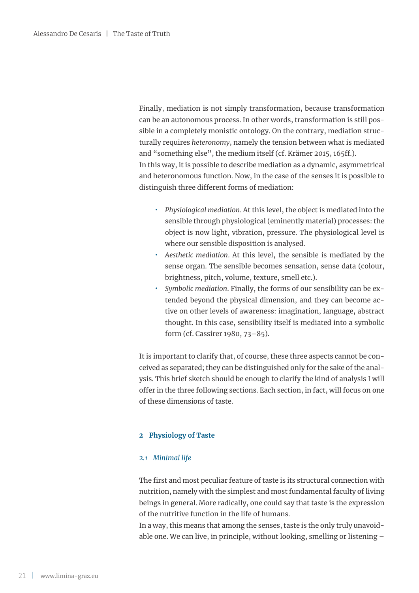Finally, mediation is not simply transformation, because transformation can be an autonomous process. In other words, transformation is still possible in a completely monistic ontology. On the contrary, mediation structurally requires *heteronomy*, namely the tension between what is mediated and "something else", the medium itself (cf. Krämer 2015, 165ff.). In this way, it is possible to describe mediation as a dynamic, asymmetrical and heteronomous function. Now, in the case of the senses it is possible to distinguish three different forms of mediation:

- **̟** *Physiological mediation*. At this level, the object is mediated into the sensible through physiological (eminently material) processes: the object is now light, vibration, pressure. The physiological level is where our sensible disposition is analysed.
- **̟** *Aesthetic mediation*. At this level, the sensible is mediated by the sense organ. The sensible becomes sensation, sense data (colour, brightness, pitch, volume, texture, smell etc.).
- **̟** *Symbolic mediation*. Finally, the forms of our sensibility can be extended beyond the physical dimension, and they can become active on other levels of awareness: imagination, language, abstract thought. In this case, sensibility itself is mediated into a symbolic form (cf. Cassirer 1980, 73–85).

It is important to clarify that, of course, these three aspects cannot be conceived as separated; they can be distinguished only for the sake of the analysis. This brief sketch should be enough to clarify the kind of analysis I will offer in the three following sections. Each section, in fact, will focus on one of these dimensions of taste.

#### **2 Physiology of Taste**

#### *2.1 Minimal life*

The first and most peculiar feature of taste is its structural connection with nutrition, namely with the simplest and most fundamental faculty of living beings in general. More radically, one could say that taste is the expression of the nutritive function in the life of humans.

In a way, this means that among the senses, taste is the only truly unavoidable one. We can live, in principle, without looking, smelling or listening –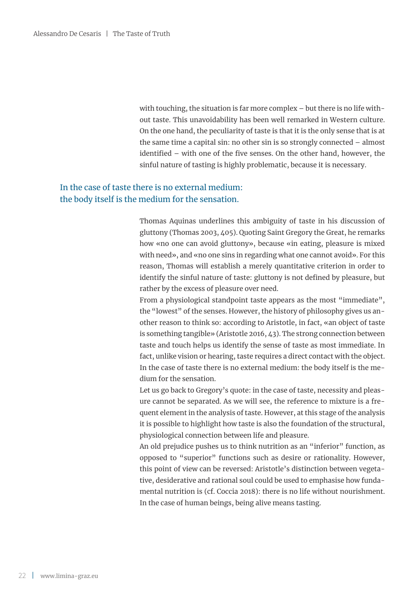with touching, the situation is far more complex – but there is no life without taste. This unavoidability has been well remarked in Western culture. On the one hand, the peculiarity of taste is that it is the only sense that is at the same time a capital sin: no other sin is so strongly connected – almost identified – with one of the five senses. On the other hand, however, the sinful nature of tasting is highly problematic, because it is necessary.

# In the case of taste there is no external medium: the body itself is the medium for the sensation.

Thomas Aquinas underlines this ambiguity of taste in his discussion of gluttony (Thomas 2003, 405). Quoting Saint Gregory the Great, he remarks how «no one can avoid gluttony», because «in eating, pleasure is mixed with need», and «no one sins in regarding what one cannot avoid». For this reason, Thomas will establish a merely quantitative criterion in order to identify the sinful nature of taste: gluttony is not defined by pleasure, but rather by the excess of pleasure over need.

From a physiological standpoint taste appears as the most "immediate", the "lowest" of the senses. However, the history of philosophy gives us another reason to think so: according to Aristotle, in fact, «an object of taste is something tangible» (Aristotle 2016, 43). The strong connection between taste and touch helps us identify the sense of taste as most immediate. In fact, unlike vision or hearing, taste requires a direct contact with the object. In the case of taste there is no external medium: the body itself is the medium for the sensation.

Let us go back to Gregory's quote: in the case of taste, necessity and pleasure cannot be separated. As we will see, the reference to mixture is a frequent element in the analysis of taste. However, at this stage of the analysis it is possible to highlight how taste is also the foundation of the structural, physiological connection between life and pleasure.

An old prejudice pushes us to think nutrition as an "inferior" function, as opposed to "superior" functions such as desire or rationality. However, this point of view can be reversed: Aristotle's distinction between vegetative, desiderative and rational soul could be used to emphasise how fundamental nutrition is (cf. Coccia 2018): there is no life without nourishment. In the case of human beings, being alive means tasting.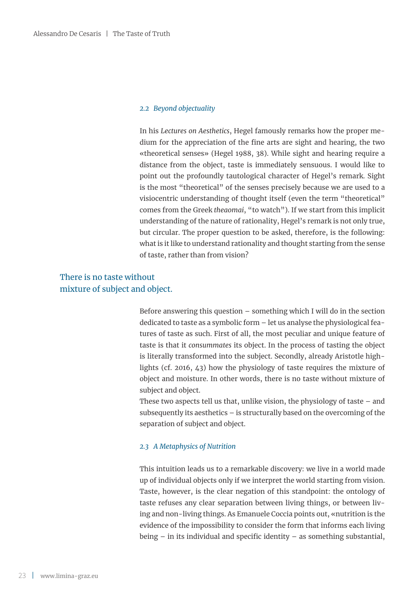#### *2.2 Beyond objectuality*

In his *Lectures on Aesthetics*, Hegel famously remarks how the proper medium for the appreciation of the fine arts are sight and hearing, the two «theoretical senses» (Hegel 1988, 38). While sight and hearing require a distance from the object, taste is immediately sensuous. I would like to point out the profoundly tautological character of Hegel's remark. Sight is the most "theoretical" of the senses precisely because we are used to a visiocentric understanding of thought itself (even the term "theoretical" comes from the Greek *theaomai*, "to watch"). If we start from this implicit understanding of the nature of rationality, Hegel's remark is not only true, but circular. The proper question to be asked, therefore, is the following: what is it like to understand rationality and thought starting from the sense of taste, rather than from vision?

# There is no taste without mixture of subject and object.

Before answering this question – something which I will do in the section dedicated to taste as a symbolic form – let us analyse the physiological features of taste as such. First of all, the most peculiar and unique feature of taste is that it *consummates* its object. In the process of tasting the object is literally transformed into the subject. Secondly, already Aristotle highlights (cf. 2016, 43) how the physiology of taste requires the mixture of object and moisture. In other words, there is no taste without mixture of subject and object.

These two aspects tell us that, unlike vision, the physiology of taste – and subsequently its aesthetics – is structurally based on the overcoming of the separation of subject and object.

#### *2.3 A Metaphysics of Nutrition*

This intuition leads us to a remarkable discovery: we live in a world made up of individual objects only if we interpret the world starting from vision. Taste, however, is the clear negation of this standpoint: the ontology of taste refuses any clear separation between living things, or between living and non-living things. As Emanuele Coccia points out, «nutrition is the evidence of the impossibility to consider the form that informs each living being – in its individual and specific identity – as something substantial,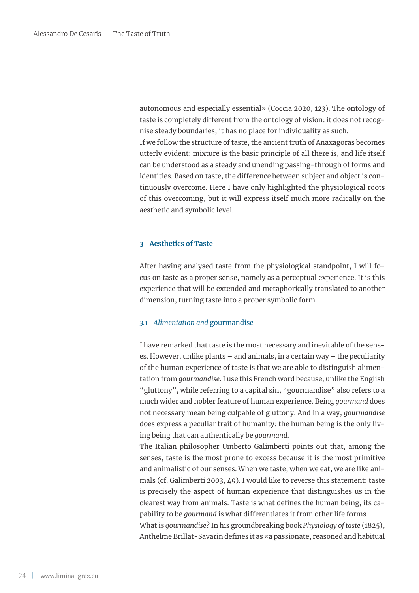autonomous and especially essential» (Coccia 2020, 123). The ontology of taste is completely different from the ontology of vision: it does not recognise steady boundaries; it has no place for individuality as such. If we follow the structure of taste, the ancient truth of Anaxagoras becomes utterly evident: mixture is the basic principle of all there is, and life itself can be understood as a steady and unending passing-through of forms and identities. Based on taste, the difference between subject and object is continuously overcome. Here I have only highlighted the physiological roots of this overcoming, but it will express itself much more radically on the aesthetic and symbolic level.

#### **3 Aesthetics of Taste**

After having analysed taste from the physiological standpoint, I will focus on taste as a proper sense, namely as a perceptual experience. It is this experience that will be extended and metaphorically translated to another dimension, turning taste into a proper symbolic form.

#### *3.1 Alimentation and* gourmandise

I have remarked that taste is the most necessary and inevitable of the senses. However, unlike plants – and animals, in a certain way – the peculiarity of the human experience of taste is that we are able to distinguish alimentation from *gourmandise*. I use this French word because, unlike the English "gluttony", while referring to a capital sin, "gourmandise" also refers to a much wider and nobler feature of human experience. Being *gourmand* does not necessary mean being culpable of gluttony. And in a way, *gourmandise*  does express a peculiar trait of humanity: the human being is the only living being that can authentically be *gourmand*.

The Italian philosopher Umberto Galimberti points out that, among the senses, taste is the most prone to excess because it is the most primitive and animalistic of our senses. When we taste, when we eat, we are like animals (cf. Galimberti 2003, 49). I would like to reverse this statement: taste is precisely the aspect of human experience that distinguishes us in the clearest way from animals. Taste is what defines the human being, its capability to be *gourmand* is what differentiates it from other life forms.

What is *gourmandise*? In his groundbreaking book *Physiology of taste* (1825), Anthelme Brillat-Savarin defines it as «a passionate, reasoned and habitual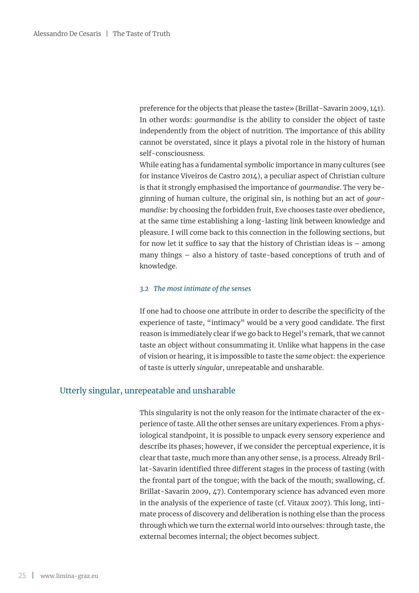preference for the objects that please the taste» (Brillat-Savarin 2009, 141). In other words: *gourmandise* is the ability to consider the object of taste independently from the object of nutrition. The importance of this ability cannot be overstated, since it plays a pivotal role in the history of human self-consciousness.

While eating has a fundamental symbolic importance in many cultures (see for instance Viveiros de Castro 2014), a peculiar aspect of Christian culture is that it strongly emphasised the importance of *gourmandise*. The very beginning of human culture, the original sin, is nothing but an act of *gourmandise*: by choosing the forbidden fruit, Eve chooses taste over obedience, at the same time establishing a long-lasting link between knowledge and pleasure. I will come back to this connection in the following sections, but for now let it suffice to say that the history of Christian ideas is – among many things – also a history of taste-based conceptions of truth and of knowledge.

#### *3.2 The most intimate of the senses*

If one had to choose one attribute in order to describe the specificity of the experience of taste, "intimacy" would be a very good candidate. The first reason is immediately clear if we go back to Hegel's remark, that we cannot taste an object without consummating it. Unlike what happens in the case of vision or hearing, it is impossible to taste the *same* object: the experience of taste is utterly *singular*, unrepeatable and unsharable.

### Utterly singular, unrepeatable and unsharable

This singularity is not the only reason for the intimate character of the experience of taste. All the other senses are unitary experiences. From a physiological standpoint, it is possible to unpack every sensory experience and describe its phases; however, if we consider the perceptual experience, it is clear that taste, much more than any other sense, is a process. Already Brillat-Savarin identified three different stages in the process of tasting (with the frontal part of the tongue; with the back of the mouth; swallowing, cf. Brillat-Savarin 2009, 47). Contemporary science has advanced even more in the analysis of the experience of taste (cf. Vitaux 2007). This long, intimate process of discovery and deliberation is nothing else than the process through which we turn the external world into ourselves: through taste, the external becomes internal; the object becomes subject.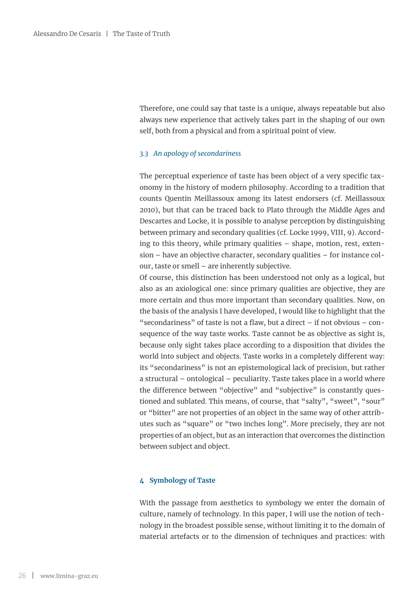Therefore, one could say that taste is a unique, always repeatable but also always new experience that actively takes part in the shaping of our own self, both from a physical and from a spiritual point of view.

#### *3.3 An apology of secondariness*

The perceptual experience of taste has been object of a very specific taxonomy in the history of modern philosophy. According to a tradition that counts Quentin Meillassoux among its latest endorsers (cf. Meillassoux 2010), but that can be traced back to Plato through the Middle Ages and Descartes and Locke, it is possible to analyse perception by distinguishing between primary and secondary qualities (cf. Locke 1999, VIII, 9). According to this theory, while primary qualities – shape, motion, rest, extension – have an objective character, secondary qualities – for instance colour, taste or smell – are inherently subjective.

Of course, this distinction has been understood not only as a logical, but also as an axiological one: since primary qualities are objective, they are more certain and thus more important than secondary qualities. Now, on the basis of the analysis I have developed, I would like to highlight that the "secondariness" of taste is not a flaw, but a direct – if not obvious – consequence of the way taste works. Taste cannot be as objective as sight is, because only sight takes place according to a disposition that divides the world into subject and objects. Taste works in a completely different way: its "secondariness" is not an epistemological lack of precision, but rather a structural – ontological – peculiarity. Taste takes place in a world where the difference between "objective" and "subjective" is constantly questioned and sublated. This means, of course, that "salty", "sweet", "sour" or "bitter" are not properties of an object in the same way of other attributes such as "square" or "two inches long". More precisely, they are not properties of an object, but as an interaction that overcomes the distinction between subject and object.

#### **4 Symbology of Taste**

With the passage from aesthetics to symbology we enter the domain of culture, namely of technology. In this paper, I will use the notion of technology in the broadest possible sense, without limiting it to the domain of material artefacts or to the dimension of techniques and practices: with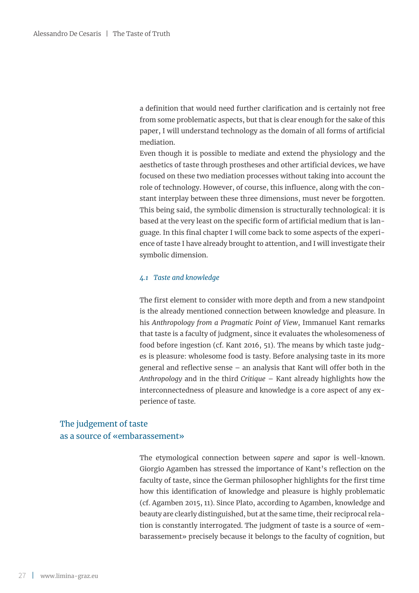a definition that would need further clarification and is certainly not free from some problematic aspects, but that is clear enough for the sake of this paper, I will understand technology as the domain of all forms of artificial mediation.

Even though it is possible to mediate and extend the physiology and the aesthetics of taste through prostheses and other artificial devices, we have focused on these two mediation processes without taking into account the role of technology. However, of course, this influence, along with the constant interplay between these three dimensions, must never be forgotten. This being said, the symbolic dimension is structurally technological: it is based at the very least on the specific form of artificial medium that is language. In this final chapter I will come back to some aspects of the experience of taste I have already brought to attention, and I will investigate their symbolic dimension.

#### *4.1 Taste and knowledge*

The first element to consider with more depth and from a new standpoint is the already mentioned connection between knowledge and pleasure. In his *Anthropology from a Pragmatic Point of View*, Immanuel Kant remarks that taste is a faculty of judgment, since it evaluates the wholesomeness of food before ingestion (cf. Kant 2016, 51). The means by which taste judges is pleasure: wholesome food is tasty. Before analysing taste in its more general and reflective sense – an analysis that Kant will offer both in the *Anthropology* and in the third *Critique* – Kant already highlights how the interconnectedness of pleasure and knowledge is a core aspect of any experience of taste.

# The judgement of taste as a source of «embarassement»

The etymological connection between *sapere* and *sapor* is well-known. Giorgio Agamben has stressed the importance of Kant's reflection on the faculty of taste, since the German philosopher highlights for the first time how this identification of knowledge and pleasure is highly problematic (cf. Agamben 2015, 11). Since Plato, according to Agamben, knowledge and beauty are clearly distinguished, but at the same time, their reciprocal relation is constantly interrogated. The judgment of taste is a source of «embarassement» precisely because it belongs to the faculty of cognition, but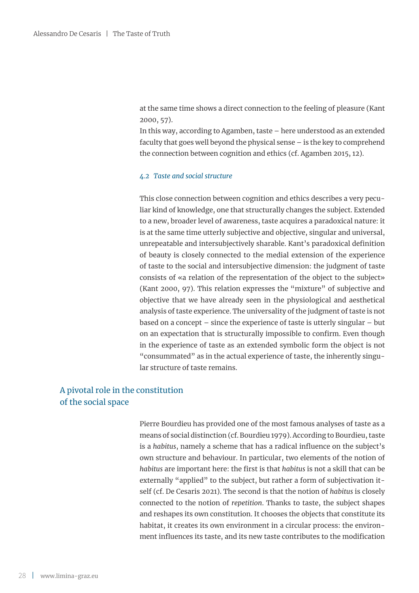at the same time shows a direct connection to the feeling of pleasure (Kant 2000, 57).

In this way, according to Agamben, taste – here understood as an extended faculty that goes well beyond the physical sense – is the key to comprehend the connection between cognition and ethics (cf. Agamben 2015, 12).

#### *4.2 Taste and social structure*

This close connection between cognition and ethics describes a very peculiar kind of knowledge, one that structurally changes the subject. Extended to a new, broader level of awareness, taste acquires a paradoxical nature: it is at the same time utterly subjective and objective, singular and universal, unrepeatable and intersubjectively sharable. Kant's paradoxical definition of beauty is closely connected to the medial extension of the experience of taste to the social and intersubjective dimension: the judgment of taste consists of «a relation of the representation of the object to the subject» (Kant 2000, 97). This relation expresses the "mixture" of subjective and objective that we have already seen in the physiological and aesthetical analysis of taste experience. The universality of the judgment of taste is not based on a concept – since the experience of taste is utterly singular – but on an expectation that is structurally impossible to confirm. Even though in the experience of taste as an extended symbolic form the object is not "consummated" as in the actual experience of taste, the inherently singular structure of taste remains.

# A pivotal role in the constitution of the social space

Pierre Bourdieu has provided one of the most famous analyses of taste as a means of social distinction (cf. Bourdieu 1979). According to Bourdieu, taste is a *habitus*, namely a scheme that has a radical influence on the subject's own structure and behaviour. In particular, two elements of the notion of *habitus* are important here: the first is that *habitus* is not a skill that can be externally "applied" to the subject, but rather a form of subjectivation itself (cf. De Cesaris 2021). The second is that the notion of *habitus* is closely connected to the notion of *repetition*. Thanks to taste, the subject shapes and reshapes its own constitution. It chooses the objects that constitute its habitat, it creates its own environment in a circular process: the environment influences its taste, and its new taste contributes to the modification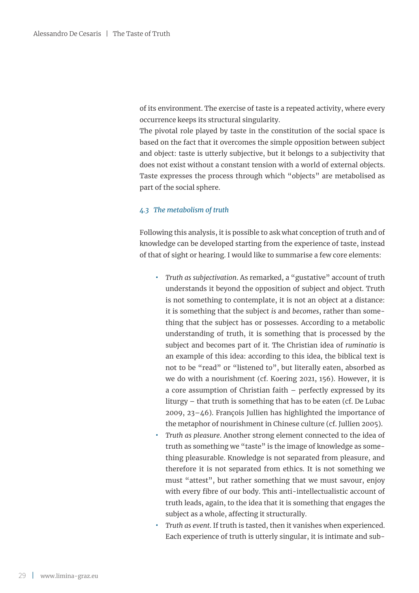of its environment. The exercise of taste is a repeated activity, where every occurrence keeps its structural singularity.

The pivotal role played by taste in the constitution of the social space is based on the fact that it overcomes the simple opposition between subject and object: taste is utterly subjective, but it belongs to a subjectivity that does not exist without a constant tension with a world of external objects. Taste expresses the process through which "objects" are metabolised as part of the social sphere.

#### *4.3 The metabolism of truth*

Following this analysis, it is possible to ask what conception of truth and of knowledge can be developed starting from the experience of taste, instead of that of sight or hearing. I would like to summarise a few core elements:

- **̟** *Truth as subjectivation*. As remarked, a "gustative" account of truth understands it beyond the opposition of subject and object. Truth is not something to contemplate, it is not an object at a distance: it is something that the subject *is* and *becomes*, rather than something that the subject has or possesses. According to a metabolic understanding of truth, it is something that is processed by the subject and becomes part of it. The Christian idea of *ruminatio* is an example of this idea: according to this idea, the biblical text is not to be "read" or "listened to", but literally eaten, absorbed as we do with a nourishment (cf. Koering 2021, 156). However, it is a core assumption of Christian faith – perfectly expressed by its liturgy – that truth is something that has to be eaten (cf. De Lubac 2009, 23–46). François Jullien has highlighted the importance of the metaphor of nourishment in Chinese culture (cf. Jullien 2005).
- **̟** *Truth as pleasure*. Another strong element connected to the idea of truth as something we "taste" is the image of knowledge as something pleasurable. Knowledge is not separated from pleasure, and therefore it is not separated from ethics. It is not something we must "attest", but rather something that we must savour, enjoy with every fibre of our body. This anti-intellectualistic account of truth leads, again, to the idea that it is something that engages the subject as a whole, affecting it structurally.
- **̟** *Truth as event*. If truth is tasted, then it vanishes when experienced. Each experience of truth is utterly singular, it is intimate and sub-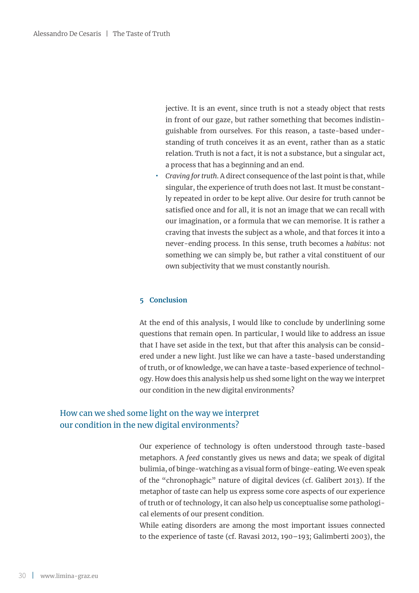jective. It is an event, since truth is not a steady object that rests in front of our gaze, but rather something that becomes indistinguishable from ourselves. For this reason, a taste-based understanding of truth conceives it as an event, rather than as a static relation. Truth is not a fact, it is not a substance, but a singular act, a process that has a beginning and an end.

**̟** *Craving for truth*. A direct consequence of the last point is that, while singular, the experience of truth does not last. It must be constantly repeated in order to be kept alive. Our desire for truth cannot be satisfied once and for all, it is not an image that we can recall with our imagination, or a formula that we can memorise. It is rather a craving that invests the subject as a whole, and that forces it into a never-ending process. In this sense, truth becomes a *habitus*: not something we can simply be, but rather a vital constituent of our own subjectivity that we must constantly nourish.

#### **5 Conclusion**

At the end of this analysis, I would like to conclude by underlining some questions that remain open. In particular, I would like to address an issue that I have set aside in the text, but that after this analysis can be considered under a new light. Just like we can have a taste-based understanding of truth, or of knowledge, we can have a taste-based experience of technology. How does this analysis help us shed some light on the way we interpret our condition in the new digital environments?

## How can we shed some light on the way we interpret our condition in the new digital environments?

Our experience of technology is often understood through taste-based metaphors. A *feed* constantly gives us news and data; we speak of digital bulimia, of binge-watching as a visual form of binge-eating. We even speak of the "chronophagic" nature of digital devices (cf. Galibert 2013). If the metaphor of taste can help us express some core aspects of our experience of truth or of technology, it can also help us conceptualise some pathological elements of our present condition.

While eating disorders are among the most important issues connected to the experience of taste (cf. Ravasi 2012, 190–193; Galimberti 2003), the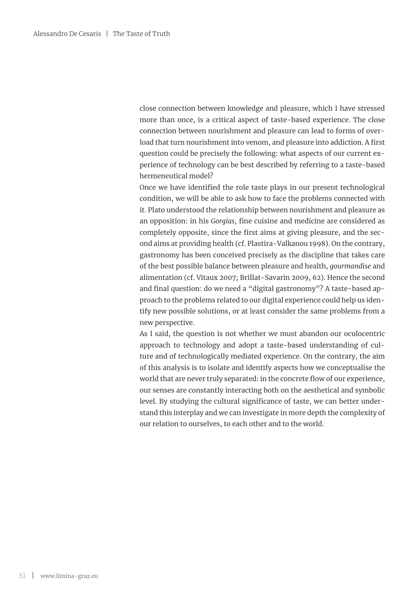close connection between knowledge and pleasure, which I have stressed more than once, is a critical aspect of taste-based experience. The close connection between nourishment and pleasure can lead to forms of overload that turn nourishment into venom, and pleasure into addiction. A first question could be precisely the following: what aspects of our current experience of technology can be best described by referring to a taste-based hermeneutical model?

Once we have identified the role taste plays in our present technological condition, we will be able to ask how to face the problems connected with it. Plato understood the relationship between nourishment and pleasure as an opposition: in his *Gorgias*, fine cuisine and medicine are considered as completely opposite, since the first aims at giving pleasure, and the second aims at providing health (cf. Plastira-Valkanou 1998). On the contrary, gastronomy has been conceived precisely as the discipline that takes care of the best possible balance between pleasure and health, *gourmandise* and alimentation (cf. Vitaux 2007; Brillat-Savarin 2009, 62). Hence the second and final question: do we need a "digital gastronomy"? A taste-based approach to the problems related to our digital experience could help us identify new possible solutions, or at least consider the same problems from a new perspective.

As I said, the question is not whether we must abandon our oculocentric approach to technology and adopt a taste-based understanding of culture and of technologically mediated experience. On the contrary, the aim of this analysis is to isolate and identify aspects how we conceptualise the world that are never truly separated: in the concrete flow of our experience, our senses are constantly interacting both on the aesthetical and symbolic level. By studying the cultural significance of taste, we can better understand this interplay and we can investigate in more depth the complexity of our relation to ourselves, to each other and to the world.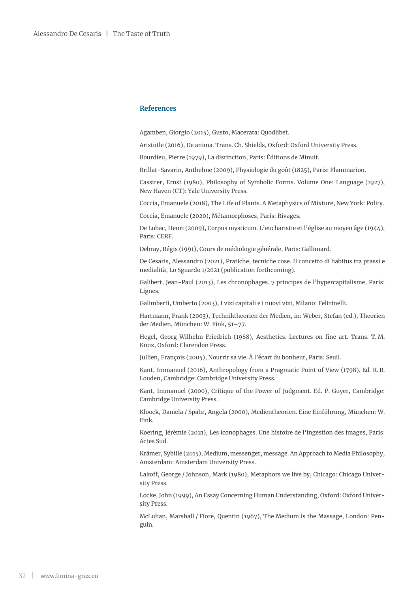#### **References**

Agamben, Giorgio (2015), Gusto, Macerata: Quodlibet.

Aristotle (2016), De anima. Trans. Ch. Shields, Oxford: Oxford University Press.

Bourdieu, Pierre (1979), La distinction, Paris: Éditions de Minuit.

Brillat-Savarin, Anthelme (2009), Physiologie du goût (1825), Paris: Flammarion.

Cassirer, Ernst (1980), Philosophy of Symbolic Forms. Volume One: Language (1927), New Haven (CT): Yale University Press.

Coccia, Emanuele (2018), The Life of Plants. A Metaphysics of Mixture, New York: Polity.

Coccia, Emanuele (2020), Métamorphoses, Paris: Rivages.

De Lubac, Henri (2009), Corpus mysticum. L'eucharistie et l'église au moyen âge (1944), Paris: CERF.

Debray, Régis (1991), Cours de médiologie générale, Paris: Gallimard.

De Cesaris, Alessandro (2021), Pratiche, tecniche cose. Il concetto di habitus tra prassi e medialità, Lo Sguardo 1/2021 (publication forthcoming).

Galibert, Jean-Paul (2013), Les chronophages. 7 principes de l'hypercapitalisme, Paris: Lignes.

Galimberti, Umberto (2003), I vizi capitali e i nuovi vizi, Milano: Feltrinelli.

Hartmann, Frank (2003), Techniktheorien der Medien, in: Weber, Stefan (ed.), Theorien der Medien, München: W. Fink, 51–77.

Hegel, Georg Wilhelm Friedrich (1988), Aesthetics. Lectures on fine art. Trans. T. M. Knox, Oxford: Clarendon Press.

Jullien, François (2005), Nourrir sa vie. À l'écart du bonheur, Paris: Seuil.

Kant, Immanuel (2016), Anthropology from a Pragmatic Point of View (1798). Ed. R. B. Louden, Cambridge: Cambridge University Press.

Kant, Immanuel (2000), Critique of the Power of Judgment. Ed. P. Guyer, Cambridge: Cambridge University Press.

Kloock, Daniela / Spahr, Angela (2000), Medientheorien. Eine Einführung, München: W. Fink.

Koering, Jérémie (2021), Les iconophages. Une histoire de l'ingestion des images, Paris: Actes Sud.

Krämer, Sybille (2015), Medium, messenger, message. An Approach to Media Philosophy, Amsterdam: Amsterdam University Press.

Lakoff, George / Johnson, Mark (1980), Metaphors we live by, Chicago: Chicago University Press.

Locke, John (1999), An Essay Concerning Human Understanding, Oxford: Oxford University Press.

McLuhan, Marshall / Fiore, Quentin (1967), The Medium is the Massage, London: Penguin.